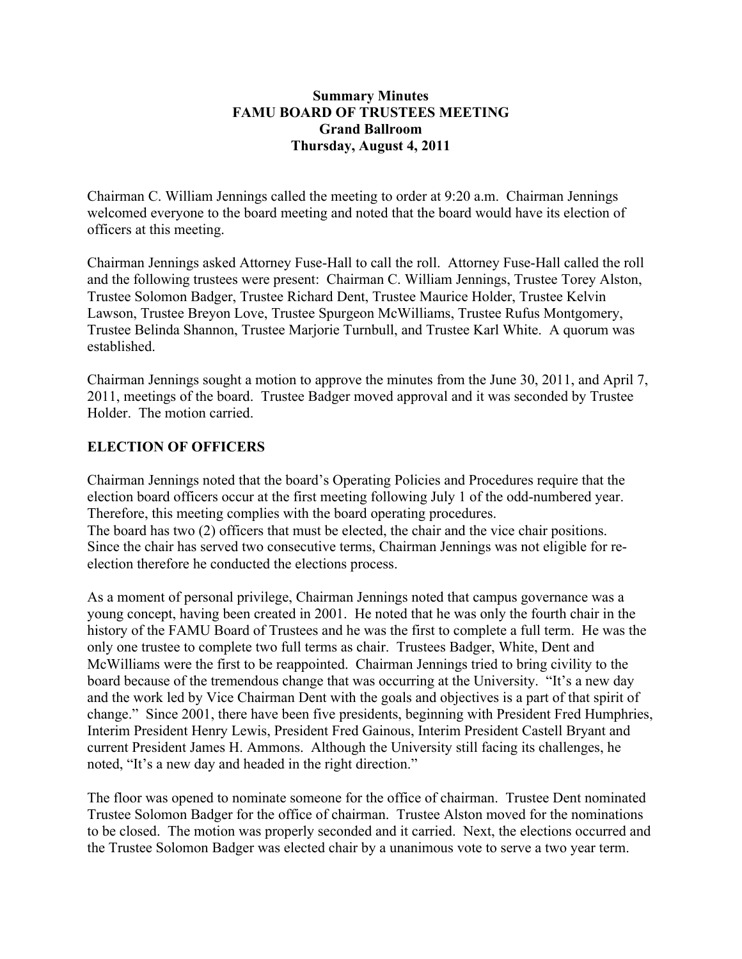#### **Summary Minutes FAMU BOARD OF TRUSTEES MEETING Grand Ballroom Thursday, August 4, 2011**

Chairman C. William Jennings called the meeting to order at 9:20 a.m. Chairman Jennings welcomed everyone to the board meeting and noted that the board would have its election of officers at this meeting.

Chairman Jennings asked Attorney Fuse-Hall to call the roll. Attorney Fuse-Hall called the roll and the following trustees were present: Chairman C. William Jennings, Trustee Torey Alston, Trustee Solomon Badger, Trustee Richard Dent, Trustee Maurice Holder, Trustee Kelvin Lawson, Trustee Breyon Love, Trustee Spurgeon McWilliams, Trustee Rufus Montgomery, Trustee Belinda Shannon, Trustee Marjorie Turnbull, and Trustee Karl White. A quorum was established.

Chairman Jennings sought a motion to approve the minutes from the June 30, 2011, and April 7, 2011, meetings of the board. Trustee Badger moved approval and it was seconded by Trustee Holder. The motion carried.

## **ELECTION OF OFFICERS**

Chairman Jennings noted that the board's Operating Policies and Procedures require that the election board officers occur at the first meeting following July 1 of the odd-numbered year. Therefore, this meeting complies with the board operating procedures. The board has two (2) officers that must be elected, the chair and the vice chair positions. Since the chair has served two consecutive terms, Chairman Jennings was not eligible for reelection therefore he conducted the elections process.

As a moment of personal privilege, Chairman Jennings noted that campus governance was a young concept, having been created in 2001. He noted that he was only the fourth chair in the history of the FAMU Board of Trustees and he was the first to complete a full term. He was the only one trustee to complete two full terms as chair. Trustees Badger, White, Dent and McWilliams were the first to be reappointed. Chairman Jennings tried to bring civility to the board because of the tremendous change that was occurring at the University. "It's a new day and the work led by Vice Chairman Dent with the goals and objectives is a part of that spirit of change." Since 2001, there have been five presidents, beginning with President Fred Humphries, Interim President Henry Lewis, President Fred Gainous, Interim President Castell Bryant and current President James H. Ammons. Although the University still facing its challenges, he noted, "It's a new day and headed in the right direction."

The floor was opened to nominate someone for the office of chairman. Trustee Dent nominated Trustee Solomon Badger for the office of chairman. Trustee Alston moved for the nominations to be closed. The motion was properly seconded and it carried. Next, the elections occurred and the Trustee Solomon Badger was elected chair by a unanimous vote to serve a two year term.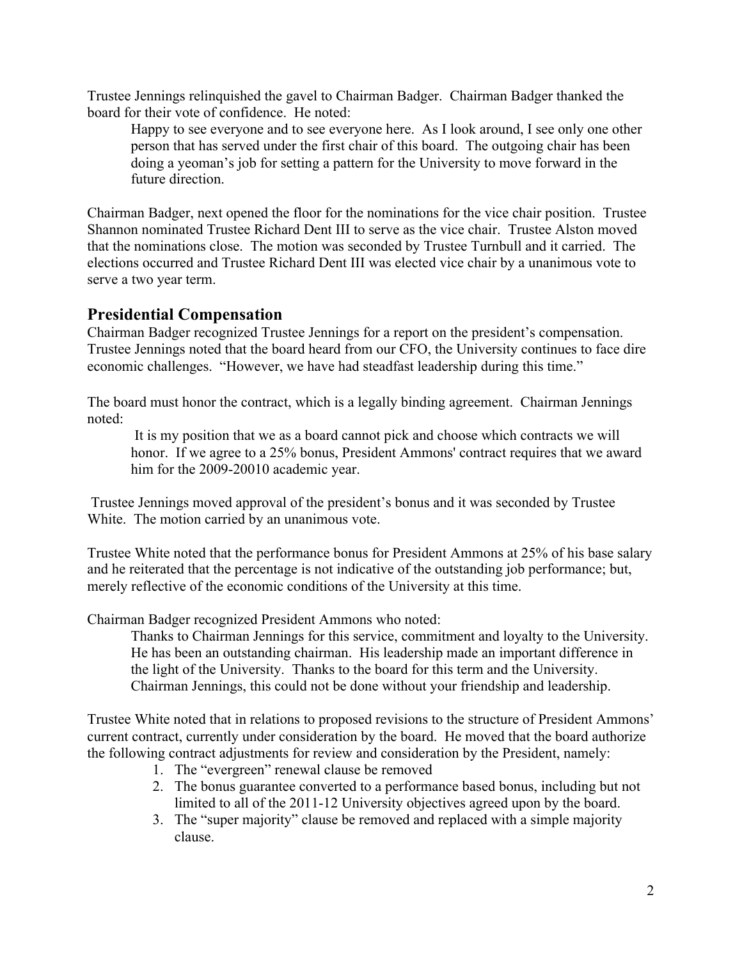Trustee Jennings relinquished the gavel to Chairman Badger. Chairman Badger thanked the board for their vote of confidence. He noted:

Happy to see everyone and to see everyone here. As I look around, I see only one other person that has served under the first chair of this board. The outgoing chair has been doing a yeoman's job for setting a pattern for the University to move forward in the future direction.

Chairman Badger, next opened the floor for the nominations for the vice chair position. Trustee Shannon nominated Trustee Richard Dent III to serve as the vice chair. Trustee Alston moved that the nominations close. The motion was seconded by Trustee Turnbull and it carried. The elections occurred and Trustee Richard Dent III was elected vice chair by a unanimous vote to serve a two year term.

# **Presidential Compensation**

Chairman Badger recognized Trustee Jennings for a report on the president's compensation. Trustee Jennings noted that the board heard from our CFO, the University continues to face dire economic challenges. "However, we have had steadfast leadership during this time."

The board must honor the contract, which is a legally binding agreement. Chairman Jennings noted:

 It is my position that we as a board cannot pick and choose which contracts we will honor. If we agree to a 25% bonus, President Ammons' contract requires that we award him for the 2009-20010 academic year.

 Trustee Jennings moved approval of the president's bonus and it was seconded by Trustee White. The motion carried by an unanimous vote.

Trustee White noted that the performance bonus for President Ammons at 25% of his base salary and he reiterated that the percentage is not indicative of the outstanding job performance; but, merely reflective of the economic conditions of the University at this time.

Chairman Badger recognized President Ammons who noted:

Thanks to Chairman Jennings for this service, commitment and loyalty to the University. He has been an outstanding chairman. His leadership made an important difference in the light of the University. Thanks to the board for this term and the University. Chairman Jennings, this could not be done without your friendship and leadership.

Trustee White noted that in relations to proposed revisions to the structure of President Ammons' current contract, currently under consideration by the board. He moved that the board authorize the following contract adjustments for review and consideration by the President, namely:

- 1. The "evergreen" renewal clause be removed
- 2. The bonus guarantee converted to a performance based bonus, including but not limited to all of the 2011-12 University objectives agreed upon by the board.
- 3. The "super majority" clause be removed and replaced with a simple majority clause.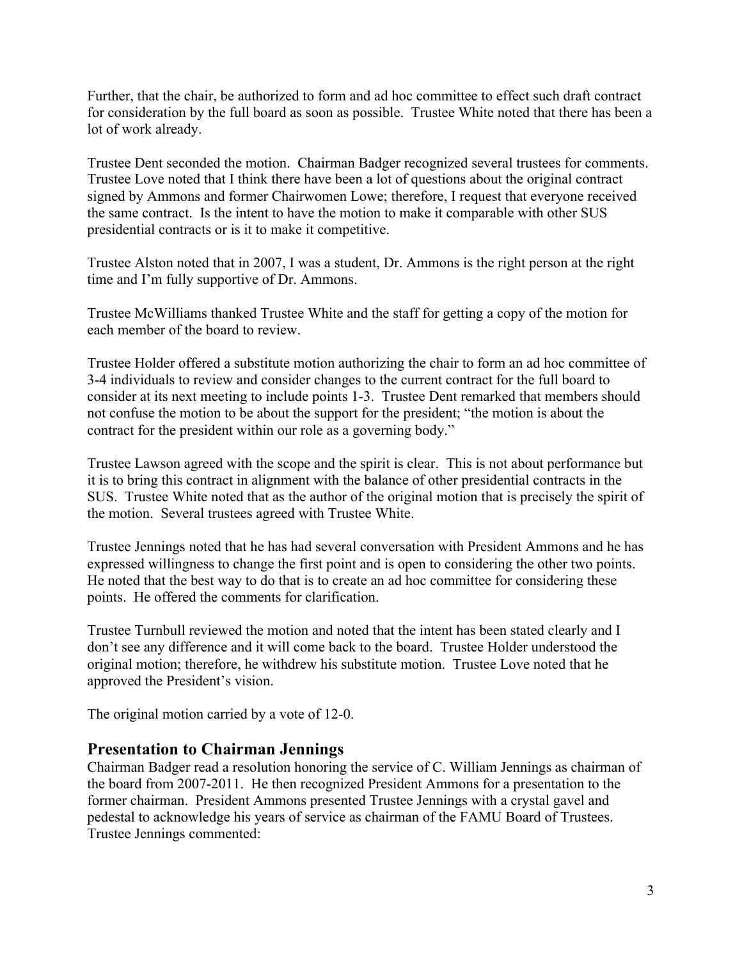Further, that the chair, be authorized to form and ad hoc committee to effect such draft contract for consideration by the full board as soon as possible. Trustee White noted that there has been a lot of work already.

Trustee Dent seconded the motion. Chairman Badger recognized several trustees for comments. Trustee Love noted that I think there have been a lot of questions about the original contract signed by Ammons and former Chairwomen Lowe; therefore, I request that everyone received the same contract. Is the intent to have the motion to make it comparable with other SUS presidential contracts or is it to make it competitive.

Trustee Alston noted that in 2007, I was a student, Dr. Ammons is the right person at the right time and I'm fully supportive of Dr. Ammons.

Trustee McWilliams thanked Trustee White and the staff for getting a copy of the motion for each member of the board to review.

Trustee Holder offered a substitute motion authorizing the chair to form an ad hoc committee of 3-4 individuals to review and consider changes to the current contract for the full board to consider at its next meeting to include points 1-3. Trustee Dent remarked that members should not confuse the motion to be about the support for the president; "the motion is about the contract for the president within our role as a governing body."

Trustee Lawson agreed with the scope and the spirit is clear. This is not about performance but it is to bring this contract in alignment with the balance of other presidential contracts in the SUS. Trustee White noted that as the author of the original motion that is precisely the spirit of the motion. Several trustees agreed with Trustee White.

Trustee Jennings noted that he has had several conversation with President Ammons and he has expressed willingness to change the first point and is open to considering the other two points. He noted that the best way to do that is to create an ad hoc committee for considering these points. He offered the comments for clarification.

Trustee Turnbull reviewed the motion and noted that the intent has been stated clearly and I don't see any difference and it will come back to the board. Trustee Holder understood the original motion; therefore, he withdrew his substitute motion. Trustee Love noted that he approved the President's vision.

The original motion carried by a vote of 12-0.

## **Presentation to Chairman Jennings**

Chairman Badger read a resolution honoring the service of C. William Jennings as chairman of the board from 2007-2011. He then recognized President Ammons for a presentation to the former chairman. President Ammons presented Trustee Jennings with a crystal gavel and pedestal to acknowledge his years of service as chairman of the FAMU Board of Trustees. Trustee Jennings commented: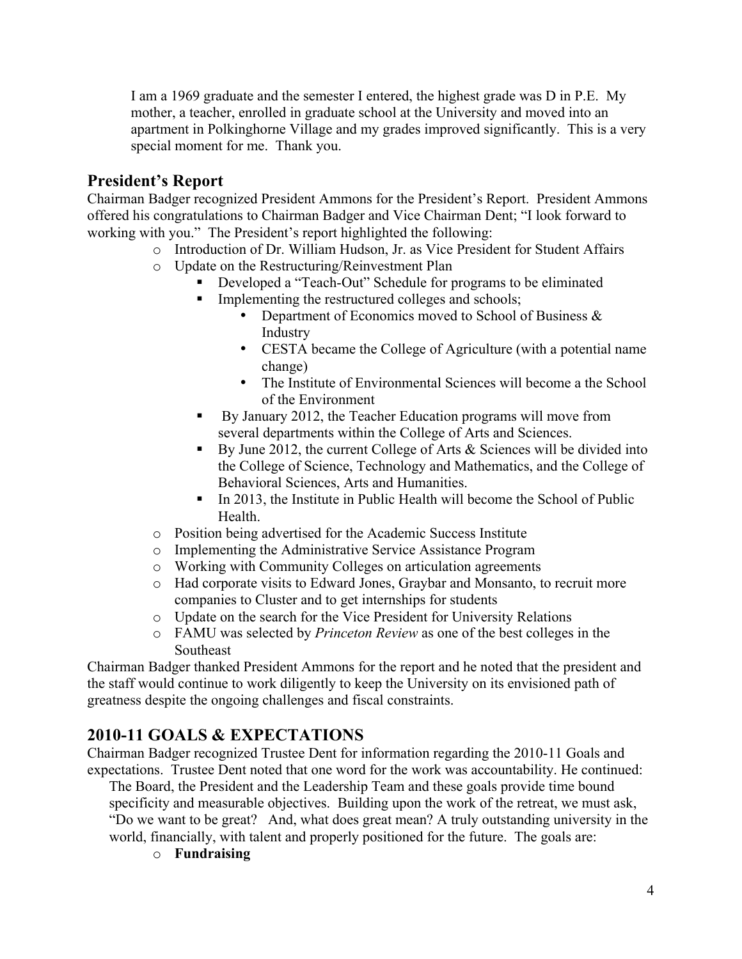I am a 1969 graduate and the semester I entered, the highest grade was D in P.E. My mother, a teacher, enrolled in graduate school at the University and moved into an apartment in Polkinghorne Village and my grades improved significantly. This is a very special moment for me. Thank you.

# **President's Report**

Chairman Badger recognized President Ammons for the President's Report. President Ammons offered his congratulations to Chairman Badger and Vice Chairman Dent; "I look forward to working with you." The President's report highlighted the following:

- o Introduction of Dr. William Hudson, Jr. as Vice President for Student Affairs
- o Update on the Restructuring/Reinvestment Plan
	- Developed a "Teach-Out" Schedule for programs to be eliminated
	- $\blacksquare$  Implementing the restructured colleges and schools;
		- Department of Economics moved to School of Business & Industry
		- CESTA became the College of Agriculture (with a potential name change)
		- The Institute of Environmental Sciences will become a the School of the Environment
	- By January 2012, the Teacher Education programs will move from several departments within the College of Arts and Sciences.
	- By June 2012, the current College of Arts  $\&$  Sciences will be divided into the College of Science, Technology and Mathematics, and the College of Behavioral Sciences, Arts and Humanities.
	- In 2013, the Institute in Public Health will become the School of Public Health.
- o Position being advertised for the Academic Success Institute
- o Implementing the Administrative Service Assistance Program
- o Working with Community Colleges on articulation agreements
- o Had corporate visits to Edward Jones, Graybar and Monsanto, to recruit more companies to Cluster and to get internships for students
- o Update on the search for the Vice President for University Relations
- o FAMU was selected by *Princeton Review* as one of the best colleges in the Southeast

Chairman Badger thanked President Ammons for the report and he noted that the president and the staff would continue to work diligently to keep the University on its envisioned path of greatness despite the ongoing challenges and fiscal constraints.

# **2010-11 GOALS & EXPECTATIONS**

Chairman Badger recognized Trustee Dent for information regarding the 2010-11 Goals and expectations. Trustee Dent noted that one word for the work was accountability. He continued:

The Board, the President and the Leadership Team and these goals provide time bound specificity and measurable objectives. Building upon the work of the retreat, we must ask, "Do we want to be great? And, what does great mean? A truly outstanding university in the world, financially, with talent and properly positioned for the future. The goals are:

o **Fundraising**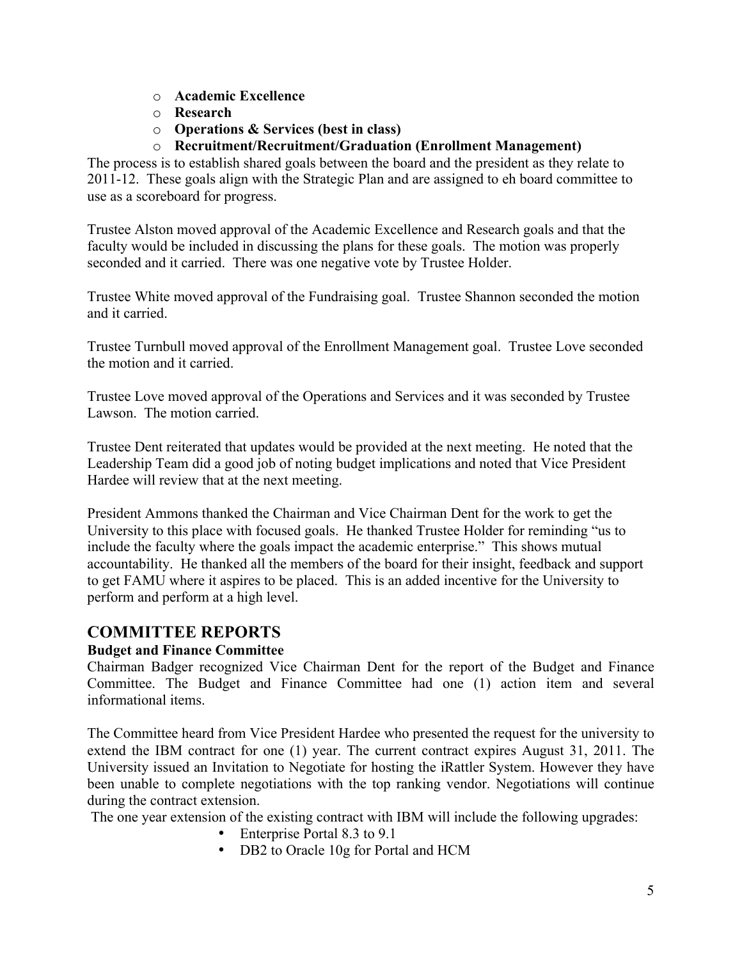- o **Academic Excellence**
- o **Research**
- o **Operations & Services (best in class)**
- o **Recruitment/Recruitment/Graduation (Enrollment Management)**

The process is to establish shared goals between the board and the president as they relate to 2011-12. These goals align with the Strategic Plan and are assigned to eh board committee to use as a scoreboard for progress.

Trustee Alston moved approval of the Academic Excellence and Research goals and that the faculty would be included in discussing the plans for these goals. The motion was properly seconded and it carried. There was one negative vote by Trustee Holder.

Trustee White moved approval of the Fundraising goal. Trustee Shannon seconded the motion and it carried.

Trustee Turnbull moved approval of the Enrollment Management goal. Trustee Love seconded the motion and it carried.

Trustee Love moved approval of the Operations and Services and it was seconded by Trustee Lawson. The motion carried.

Trustee Dent reiterated that updates would be provided at the next meeting. He noted that the Leadership Team did a good job of noting budget implications and noted that Vice President Hardee will review that at the next meeting.

President Ammons thanked the Chairman and Vice Chairman Dent for the work to get the University to this place with focused goals. He thanked Trustee Holder for reminding "us to include the faculty where the goals impact the academic enterprise." This shows mutual accountability. He thanked all the members of the board for their insight, feedback and support to get FAMU where it aspires to be placed. This is an added incentive for the University to perform and perform at a high level.

# **COMMITTEE REPORTS**

## **Budget and Finance Committee**

Chairman Badger recognized Vice Chairman Dent for the report of the Budget and Finance Committee. The Budget and Finance Committee had one (1) action item and several informational items.

The Committee heard from Vice President Hardee who presented the request for the university to extend the IBM contract for one (1) year. The current contract expires August 31, 2011. The University issued an Invitation to Negotiate for hosting the iRattler System. However they have been unable to complete negotiations with the top ranking vendor. Negotiations will continue during the contract extension.

The one year extension of the existing contract with IBM will include the following upgrades:

- Enterprise Portal 8.3 to 9.1
- DB2 to Oracle 10g for Portal and HCM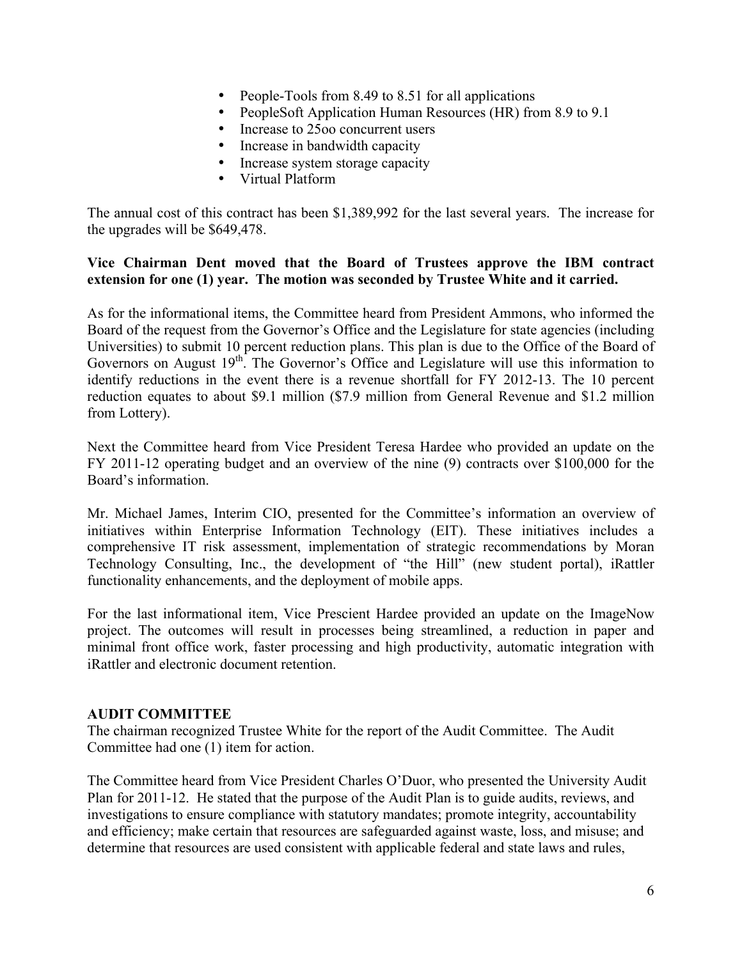- People-Tools from 8.49 to 8.51 for all applications
- PeopleSoft Application Human Resources (HR) from 8.9 to 9.1
- Increase to 2500 concurrent users
- Increase in bandwidth capacity
- Increase system storage capacity
- Virtual Platform

The annual cost of this contract has been \$1,389,992 for the last several years. The increase for the upgrades will be \$649,478.

#### **Vice Chairman Dent moved that the Board of Trustees approve the IBM contract extension for one (1) year. The motion was seconded by Trustee White and it carried.**

As for the informational items, the Committee heard from President Ammons, who informed the Board of the request from the Governor's Office and the Legislature for state agencies (including Universities) to submit 10 percent reduction plans. This plan is due to the Office of the Board of Governors on August  $19<sup>th</sup>$ . The Governor's Office and Legislature will use this information to identify reductions in the event there is a revenue shortfall for FY 2012-13. The 10 percent reduction equates to about \$9.1 million (\$7.9 million from General Revenue and \$1.2 million from Lottery).

Next the Committee heard from Vice President Teresa Hardee who provided an update on the FY 2011-12 operating budget and an overview of the nine (9) contracts over \$100,000 for the Board's information.

Mr. Michael James, Interim CIO, presented for the Committee's information an overview of initiatives within Enterprise Information Technology (EIT). These initiatives includes a comprehensive IT risk assessment, implementation of strategic recommendations by Moran Technology Consulting, Inc., the development of "the Hill" (new student portal), iRattler functionality enhancements, and the deployment of mobile apps.

For the last informational item, Vice Prescient Hardee provided an update on the ImageNow project. The outcomes will result in processes being streamlined, a reduction in paper and minimal front office work, faster processing and high productivity, automatic integration with iRattler and electronic document retention.

#### **AUDIT COMMITTEE**

The chairman recognized Trustee White for the report of the Audit Committee. The Audit Committee had one (1) item for action.

The Committee heard from Vice President Charles O'Duor, who presented the University Audit Plan for 2011-12. He stated that the purpose of the Audit Plan is to guide audits, reviews, and investigations to ensure compliance with statutory mandates; promote integrity, accountability and efficiency; make certain that resources are safeguarded against waste, loss, and misuse; and determine that resources are used consistent with applicable federal and state laws and rules,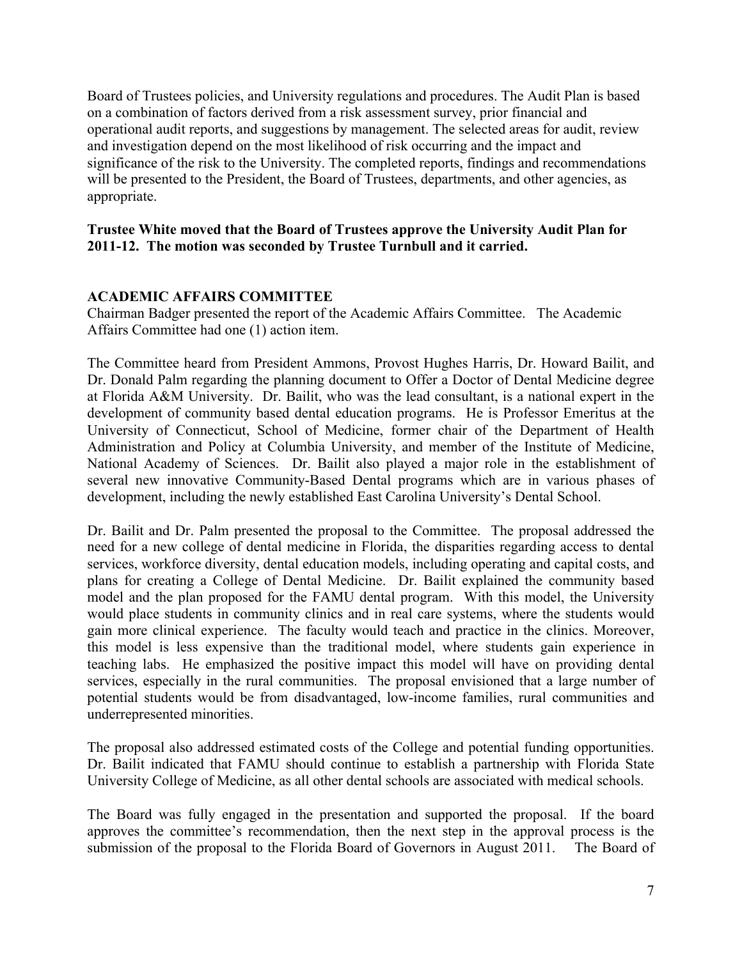Board of Trustees policies, and University regulations and procedures. The Audit Plan is based on a combination of factors derived from a risk assessment survey, prior financial and operational audit reports, and suggestions by management. The selected areas for audit, review and investigation depend on the most likelihood of risk occurring and the impact and significance of the risk to the University. The completed reports, findings and recommendations will be presented to the President, the Board of Trustees, departments, and other agencies, as appropriate.

#### **Trustee White moved that the Board of Trustees approve the University Audit Plan for 2011-12. The motion was seconded by Trustee Turnbull and it carried.**

## **ACADEMIC AFFAIRS COMMITTEE**

Chairman Badger presented the report of the Academic Affairs Committee. The Academic Affairs Committee had one (1) action item.

The Committee heard from President Ammons, Provost Hughes Harris, Dr. Howard Bailit, and Dr. Donald Palm regarding the planning document to Offer a Doctor of Dental Medicine degree at Florida A&M University. Dr. Bailit, who was the lead consultant, is a national expert in the development of community based dental education programs. He is Professor Emeritus at the University of Connecticut, School of Medicine, former chair of the Department of Health Administration and Policy at Columbia University, and member of the Institute of Medicine, National Academy of Sciences. Dr. Bailit also played a major role in the establishment of several new innovative Community-Based Dental programs which are in various phases of development, including the newly established East Carolina University's Dental School.

Dr. Bailit and Dr. Palm presented the proposal to the Committee. The proposal addressed the need for a new college of dental medicine in Florida, the disparities regarding access to dental services, workforce diversity, dental education models, including operating and capital costs, and plans for creating a College of Dental Medicine. Dr. Bailit explained the community based model and the plan proposed for the FAMU dental program. With this model, the University would place students in community clinics and in real care systems, where the students would gain more clinical experience. The faculty would teach and practice in the clinics. Moreover, this model is less expensive than the traditional model, where students gain experience in teaching labs. He emphasized the positive impact this model will have on providing dental services, especially in the rural communities. The proposal envisioned that a large number of potential students would be from disadvantaged, low-income families, rural communities and underrepresented minorities.

The proposal also addressed estimated costs of the College and potential funding opportunities. Dr. Bailit indicated that FAMU should continue to establish a partnership with Florida State University College of Medicine, as all other dental schools are associated with medical schools.

The Board was fully engaged in the presentation and supported the proposal. If the board approves the committee's recommendation, then the next step in the approval process is the submission of the proposal to the Florida Board of Governors in August 2011. The Board of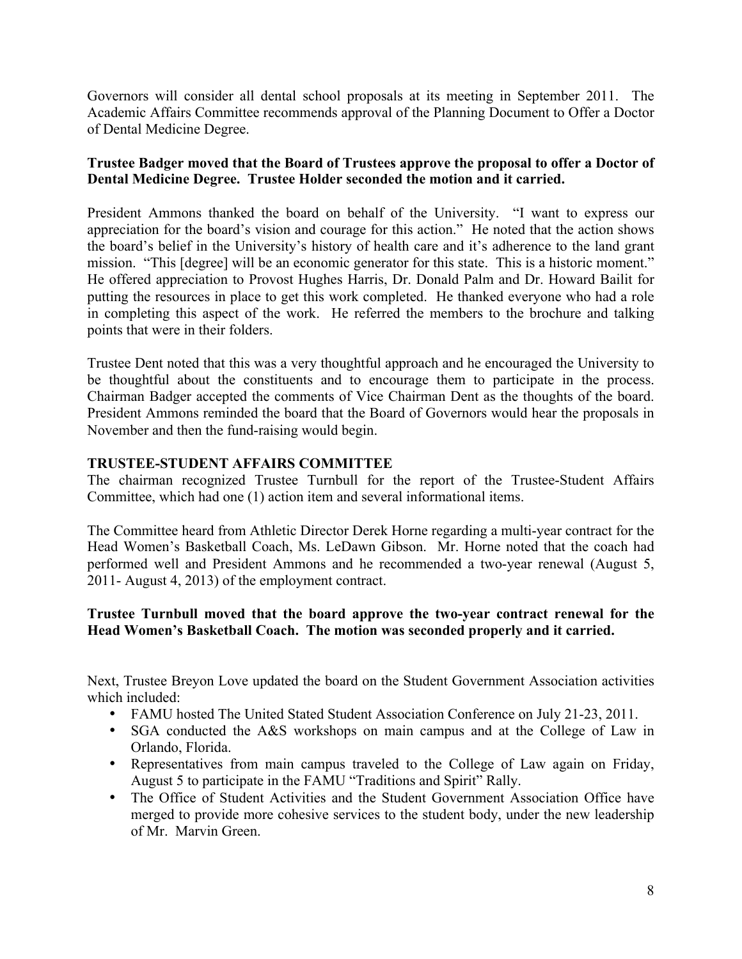Governors will consider all dental school proposals at its meeting in September 2011. The Academic Affairs Committee recommends approval of the Planning Document to Offer a Doctor of Dental Medicine Degree.

## **Trustee Badger moved that the Board of Trustees approve the proposal to offer a Doctor of Dental Medicine Degree. Trustee Holder seconded the motion and it carried.**

President Ammons thanked the board on behalf of the University. "I want to express our appreciation for the board's vision and courage for this action." He noted that the action shows the board's belief in the University's history of health care and it's adherence to the land grant mission. "This [degree] will be an economic generator for this state. This is a historic moment." He offered appreciation to Provost Hughes Harris, Dr. Donald Palm and Dr. Howard Bailit for putting the resources in place to get this work completed. He thanked everyone who had a role in completing this aspect of the work. He referred the members to the brochure and talking points that were in their folders.

Trustee Dent noted that this was a very thoughtful approach and he encouraged the University to be thoughtful about the constituents and to encourage them to participate in the process. Chairman Badger accepted the comments of Vice Chairman Dent as the thoughts of the board. President Ammons reminded the board that the Board of Governors would hear the proposals in November and then the fund-raising would begin.

## **TRUSTEE-STUDENT AFFAIRS COMMITTEE**

The chairman recognized Trustee Turnbull for the report of the Trustee-Student Affairs Committee, which had one (1) action item and several informational items.

The Committee heard from Athletic Director Derek Horne regarding a multi-year contract for the Head Women's Basketball Coach, Ms. LeDawn Gibson. Mr. Horne noted that the coach had performed well and President Ammons and he recommended a two-year renewal (August 5, 2011- August 4, 2013) of the employment contract.

## **Trustee Turnbull moved that the board approve the two-year contract renewal for the Head Women's Basketball Coach. The motion was seconded properly and it carried.**

Next, Trustee Breyon Love updated the board on the Student Government Association activities which included:

- FAMU hosted The United Stated Student Association Conference on July 21-23, 2011.
- SGA conducted the A&S workshops on main campus and at the College of Law in Orlando, Florida.
- Representatives from main campus traveled to the College of Law again on Friday, August 5 to participate in the FAMU "Traditions and Spirit" Rally.
- The Office of Student Activities and the Student Government Association Office have merged to provide more cohesive services to the student body, under the new leadership of Mr. Marvin Green.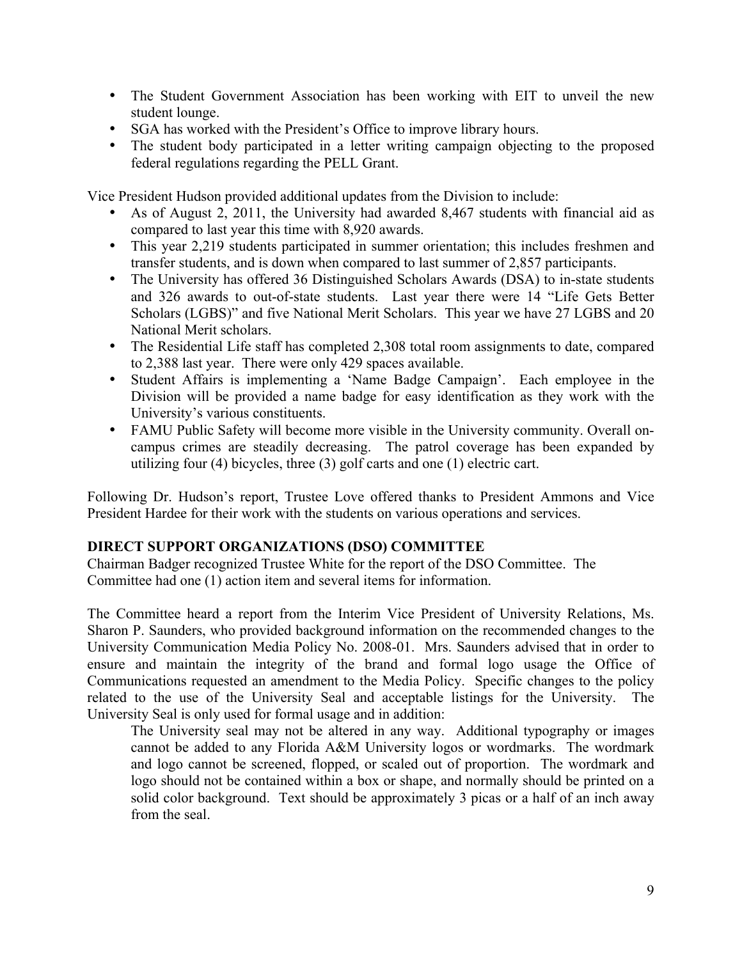- The Student Government Association has been working with EIT to unveil the new student lounge.
- SGA has worked with the President's Office to improve library hours.
- The student body participated in a letter writing campaign objecting to the proposed federal regulations regarding the PELL Grant.

Vice President Hudson provided additional updates from the Division to include:

- As of August 2, 2011, the University had awarded 8,467 students with financial aid as compared to last year this time with 8,920 awards.
- This year 2,219 students participated in summer orientation; this includes freshmen and transfer students, and is down when compared to last summer of 2,857 participants.
- The University has offered 36 Distinguished Scholars Awards (DSA) to in-state students and 326 awards to out-of-state students. Last year there were 14 "Life Gets Better Scholars (LGBS)" and five National Merit Scholars. This year we have 27 LGBS and 20 National Merit scholars.
- The Residential Life staff has completed 2,308 total room assignments to date, compared to 2,388 last year. There were only 429 spaces available.
- Student Affairs is implementing a 'Name Badge Campaign'. Each employee in the Division will be provided a name badge for easy identification as they work with the University's various constituents.
- FAMU Public Safety will become more visible in the University community. Overall oncampus crimes are steadily decreasing. The patrol coverage has been expanded by utilizing four (4) bicycles, three (3) golf carts and one (1) electric cart.

Following Dr. Hudson's report, Trustee Love offered thanks to President Ammons and Vice President Hardee for their work with the students on various operations and services.

## **DIRECT SUPPORT ORGANIZATIONS (DSO) COMMITTEE**

Chairman Badger recognized Trustee White for the report of the DSO Committee. The Committee had one (1) action item and several items for information.

The Committee heard a report from the Interim Vice President of University Relations, Ms. Sharon P. Saunders, who provided background information on the recommended changes to the University Communication Media Policy No. 2008-01. Mrs. Saunders advised that in order to ensure and maintain the integrity of the brand and formal logo usage the Office of Communications requested an amendment to the Media Policy. Specific changes to the policy related to the use of the University Seal and acceptable listings for the University. The University Seal is only used for formal usage and in addition:

The University seal may not be altered in any way. Additional typography or images cannot be added to any Florida A&M University logos or wordmarks. The wordmark and logo cannot be screened, flopped, or scaled out of proportion. The wordmark and logo should not be contained within a box or shape, and normally should be printed on a solid color background. Text should be approximately 3 picas or a half of an inch away from the seal.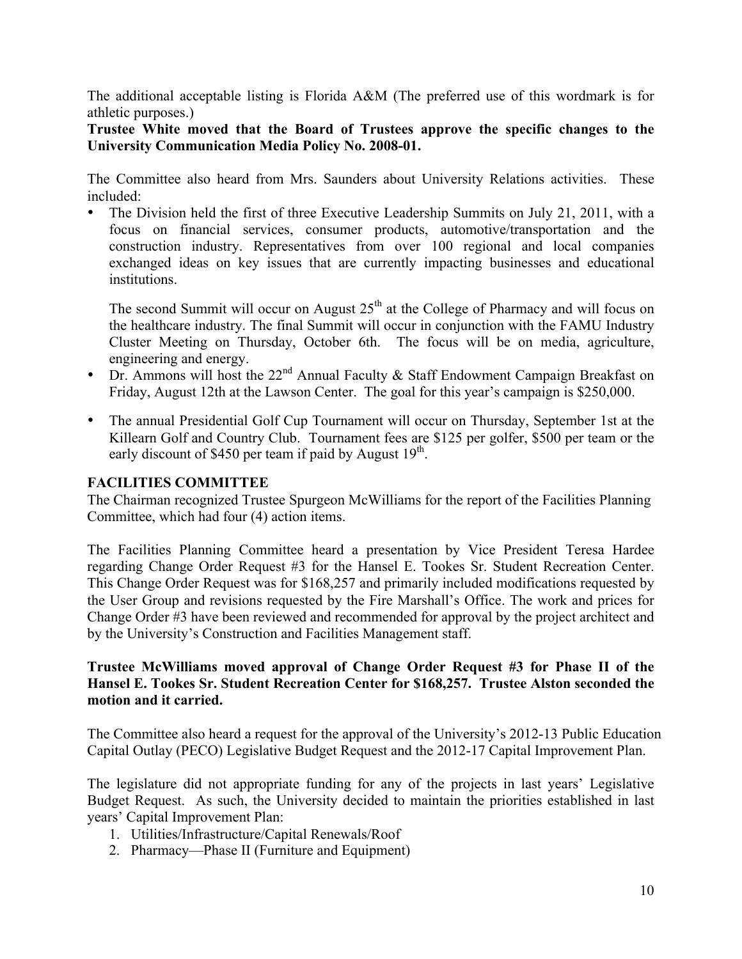The additional acceptable listing is Florida A&M (The preferred use of this wordmark is for athletic purposes.)

**Trustee White moved that the Board of Trustees approve the specific changes to the University Communication Media Policy No. 2008-01.**

The Committee also heard from Mrs. Saunders about University Relations activities. These included:

• The Division held the first of three Executive Leadership Summits on July 21, 2011, with a focus on financial services, consumer products, automotive/transportation and the construction industry. Representatives from over 100 regional and local companies exchanged ideas on key issues that are currently impacting businesses and educational institutions.

The second Summit will occur on August  $25<sup>th</sup>$  at the College of Pharmacy and will focus on the healthcare industry. The final Summit will occur in conjunction with the FAMU Industry Cluster Meeting on Thursday, October 6th. The focus will be on media, agriculture, engineering and energy.

- Dr. Ammons will host the  $22^{nd}$  Annual Faculty & Staff Endowment Campaign Breakfast on Friday, August 12th at the Lawson Center. The goal for this year's campaign is \$250,000.
- The annual Presidential Golf Cup Tournament will occur on Thursday, September 1st at the Killearn Golf and Country Club. Tournament fees are \$125 per golfer, \$500 per team or the early discount of \$450 per team if paid by August  $19<sup>th</sup>$ .

#### **FACILITIES COMMITTEE**

The Chairman recognized Trustee Spurgeon McWilliams for the report of the Facilities Planning Committee, which had four (4) action items.

The Facilities Planning Committee heard a presentation by Vice President Teresa Hardee regarding Change Order Request #3 for the Hansel E. Tookes Sr. Student Recreation Center. This Change Order Request was for \$168,257 and primarily included modifications requested by the User Group and revisions requested by the Fire Marshall's Office. The work and prices for Change Order #3 have been reviewed and recommended for approval by the project architect and by the University's Construction and Facilities Management staff.

#### **Trustee McWilliams moved approval of Change Order Request #3 for Phase II of the Hansel E. Tookes Sr. Student Recreation Center for \$168,257. Trustee Alston seconded the motion and it carried.**

The Committee also heard a request for the approval of the University's 2012-13 Public Education Capital Outlay (PECO) Legislative Budget Request and the 2012-17 Capital Improvement Plan.

The legislature did not appropriate funding for any of the projects in last years' Legislative Budget Request. As such, the University decided to maintain the priorities established in last years' Capital Improvement Plan:

- 1. Utilities/Infrastructure/Capital Renewals/Roof
- 2. Pharmacy—Phase II (Furniture and Equipment)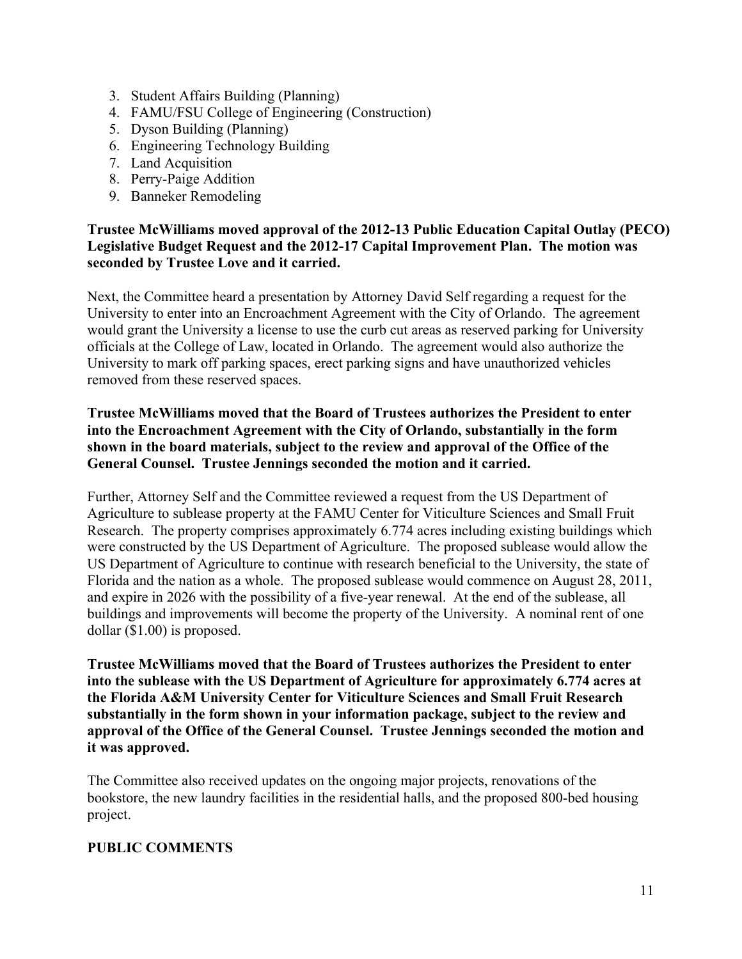- 3. Student Affairs Building (Planning)
- 4. FAMU/FSU College of Engineering (Construction)
- 5. Dyson Building (Planning)
- 6. Engineering Technology Building
- 7. Land Acquisition
- 8. Perry-Paige Addition
- 9. Banneker Remodeling

## **Trustee McWilliams moved approval of the 2012-13 Public Education Capital Outlay (PECO) Legislative Budget Request and the 2012-17 Capital Improvement Plan. The motion was seconded by Trustee Love and it carried.**

Next, the Committee heard a presentation by Attorney David Self regarding a request for the University to enter into an Encroachment Agreement with the City of Orlando. The agreement would grant the University a license to use the curb cut areas as reserved parking for University officials at the College of Law, located in Orlando. The agreement would also authorize the University to mark off parking spaces, erect parking signs and have unauthorized vehicles removed from these reserved spaces.

## **Trustee McWilliams moved that the Board of Trustees authorizes the President to enter into the Encroachment Agreement with the City of Orlando, substantially in the form shown in the board materials, subject to the review and approval of the Office of the General Counsel. Trustee Jennings seconded the motion and it carried.**

Further, Attorney Self and the Committee reviewed a request from the US Department of Agriculture to sublease property at the FAMU Center for Viticulture Sciences and Small Fruit Research. The property comprises approximately 6.774 acres including existing buildings which were constructed by the US Department of Agriculture. The proposed sublease would allow the US Department of Agriculture to continue with research beneficial to the University, the state of Florida and the nation as a whole. The proposed sublease would commence on August 28, 2011, and expire in 2026 with the possibility of a five-year renewal. At the end of the sublease, all buildings and improvements will become the property of the University. A nominal rent of one dollar (\$1.00) is proposed.

**Trustee McWilliams moved that the Board of Trustees authorizes the President to enter into the sublease with the US Department of Agriculture for approximately 6.774 acres at the Florida A&M University Center for Viticulture Sciences and Small Fruit Research substantially in the form shown in your information package, subject to the review and approval of the Office of the General Counsel. Trustee Jennings seconded the motion and it was approved.**

The Committee also received updates on the ongoing major projects, renovations of the bookstore, the new laundry facilities in the residential halls, and the proposed 800-bed housing project.

## **PUBLIC COMMENTS**